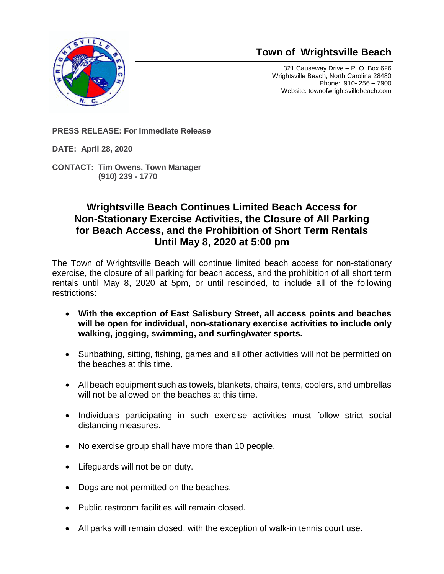

## **Town of Wrightsville Beach**

321 Causeway Drive – P. O. Box 626 Wrightsville Beach, North Carolina 28480 Phone: 910- 256 – 7900 Website: townofwrightsvillebeach.com

**PRESS RELEASE: For Immediate Release** 

**DATE: April 28, 2020**

**CONTACT: Tim Owens, Town Manager (910) 239 - 1770**

## **Wrightsville Beach Continues Limited Beach Access for Non-Stationary Exercise Activities, the Closure of All Parking for Beach Access, and the Prohibition of Short Term Rentals Until May 8, 2020 at 5:00 pm**

The Town of Wrightsville Beach will continue limited beach access for non-stationary exercise, the closure of all parking for beach access, and the prohibition of all short term rentals until May 8, 2020 at 5pm, or until rescinded, to include all of the following restrictions:

- **With the exception of East Salisbury Street, all access points and beaches will be open for individual, non-stationary exercise activities to include only walking, jogging, swimming, and surfing/water sports.**
- Sunbathing, sitting, fishing, games and all other activities will not be permitted on the beaches at this time.
- All beach equipment such as towels, blankets, chairs, tents, coolers, and umbrellas will not be allowed on the beaches at this time.
- Individuals participating in such exercise activities must follow strict social distancing measures.
- No exercise group shall have more than 10 people.
- Lifeguards will not be on duty.
- Dogs are not permitted on the beaches.
- Public restroom facilities will remain closed.
- All parks will remain closed, with the exception of walk-in tennis court use.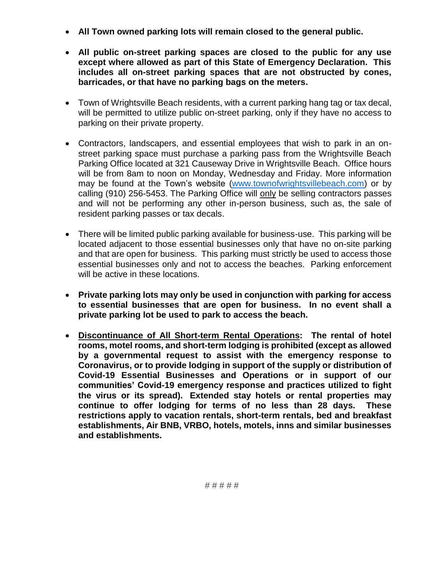- **All Town owned parking lots will remain closed to the general public.**
- **All public on-street parking spaces are closed to the public for any use except where allowed as part of this State of Emergency Declaration. This includes all on-street parking spaces that are not obstructed by cones, barricades, or that have no parking bags on the meters.**
- Town of Wrightsville Beach residents, with a current parking hang tag or tax decal, will be permitted to utilize public on-street parking, only if they have no access to parking on their private property.
- Contractors, landscapers, and essential employees that wish to park in an onstreet parking space must purchase a parking pass from the Wrightsville Beach Parking Office located at 321 Causeway Drive in Wrightsville Beach. Office hours will be from 8am to noon on Monday, Wednesday and Friday. More information may be found at the Town's website [\(www.townofwrightsvillebeach.com\)](http://www.townofwrightsvillebeach.com/) or by calling (910) 256-5453. The Parking Office will only be selling contractors passes and will not be performing any other in-person business, such as, the sale of resident parking passes or tax decals.
- There will be limited public parking available for business-use. This parking will be located adjacent to those essential businesses only that have no on-site parking and that are open for business. This parking must strictly be used to access those essential businesses only and not to access the beaches. Parking enforcement will be active in these locations.
- **Private parking lots may only be used in conjunction with parking for access to essential businesses that are open for business. In no event shall a private parking lot be used to park to access the beach.**
- **Discontinuance of All Short-term Rental Operations: The rental of hotel rooms, motel rooms, and short-term lodging is prohibited (except as allowed by a governmental request to assist with the emergency response to Coronavirus, or to provide lodging in support of the supply or distribution of Covid-19 Essential Businesses and Operations or in support of our communities' Covid-19 emergency response and practices utilized to fight the virus or its spread). Extended stay hotels or rental properties may continue to offer lodging for terms of no less than 28 days. These restrictions apply to vacation rentals, short-term rentals, bed and breakfast establishments, Air BNB, VRBO, hotels, motels, inns and similar businesses and establishments.**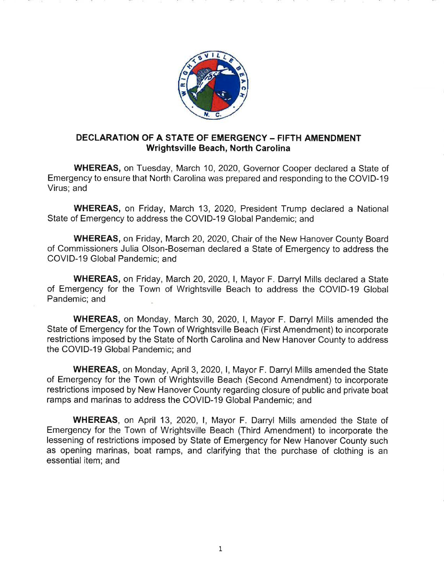

## **DECLARATION OF A STATE OF EMERGENCY - FIFTH AMENDMENT Wrightsville Beach, North Carolina**

**WHEREAS, on Tuesday, March 10, 2020, Governor Cooper declared a State of** Emergency to ensure that North Carolina was prepared and responding to the COVID-19 Virus; and

**WHEREAS, on Friday, March 13, 2020, President Trump declared a National** State of Emergency to address the COVID-19 Global Pandemic; and

**WHEREAS, on Friday, March 20, 2020, Chair of the New Hanover County Board** of Commissioners Julia Olson-Boseman declared a State of Emergency to address the COVID-19 Global Pandemic; and

**WHEREAS, on Friday, March 20, 2020, I, Mayor F. Darryl Mills declared a State** of Emergency for the Town of Wrightsville Beach to address the COVID-19 Global Pandemic; and

**WHEREAS, on Monday, March 30, 2020, I, Mayor F. Darryl Mills amended the** State of Emergency for the Town of Wrightsville Beach (First Amendment) to incorporate restrictions imposed by the State of North Carolina and New Hanover County to address the COVID-19 Global Pandemic; and

**WHEREAS, on Monday, April 3, 2020, I, Mayor F. Darryl Mills amended the State** of Emergency for the Town of Wrightsville Beach (Second Amendment) to incorporate restrictions imposed by New Hanover County regarding closure of public and private boat ramps and marinas to address the COVID-19 Global Pandemic; and

**WHEREAS, on April 13, 2020, I, Mayor F. Darryl Mills amended the State of** Emergency for the Town of Wrightsville Beach (Third Amendment) to incorporate the lessening of restrictions imposed by State of Emergency for New Hanover County such as opening marinas, boat ramps, and clarifying that the purchase of clothing is an essential item; and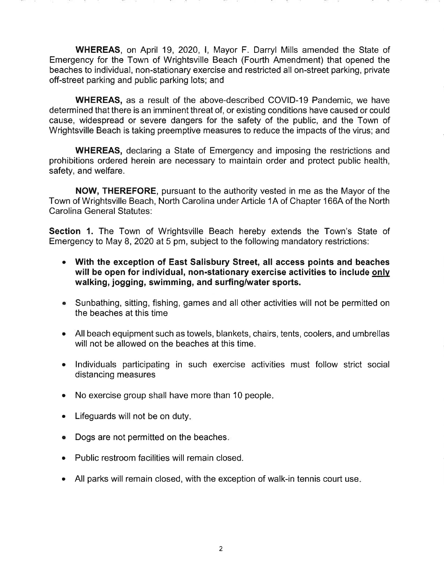WHEREAS, on April 19, 2020, I. Mayor F. Darryl Mills amended the State of Emergency for the Town of Wrightsville Beach (Fourth Amendment) that opened the beaches to individual, non-stationary exercise and restricted all on-street parking, private off-street parking and public parking lots; and

**WHEREAS.** as a result of the above-described COVID-19 Pandemic, we have determined that there is an imminent threat of, or existing conditions have caused or could cause, widespread or severe dangers for the safety of the public, and the Town of Wrightsville Beach is taking preemptive measures to reduce the impacts of the virus; and

**WHEREAS,** declaring a State of Emergency and imposing the restrictions and prohibitions ordered herein are necessary to maintain order and protect public health. safety, and welfare.

**NOW, THEREFORE, pursuant to the authority vested in me as the Mayor of the** Town of Wrightsville Beach, North Carolina under Article 1A of Chapter 166A of the North Carolina General Statutes:

Section 1. The Town of Wrightsville Beach hereby extends the Town's State of Emergency to May 8, 2020 at 5 pm, subject to the following mandatory restrictions:

- $\bullet$ With the exception of East Salisbury Street, all access points and beaches will be open for individual, non-stationary exercise activities to include only walking, jogging, swimming, and surfing/water sports.
- Sunbathing, sitting, fishing, games and all other activities will not be permitted on the beaches at this time
- All beach equipment such as towels, blankets, chairs, tents, coolers, and umbrellas will not be allowed on the beaches at this time.
- Individuals participating in such exercise activities must follow strict social  $\bullet$ distancing measures
- No exercise group shall have more than 10 people.  $\bullet$
- Lifeguards will not be on duty.  $\bullet$
- Dogs are not permitted on the beaches.
- Public restroom facilities will remain closed.
- All parks will remain closed, with the exception of walk-in tennis court use.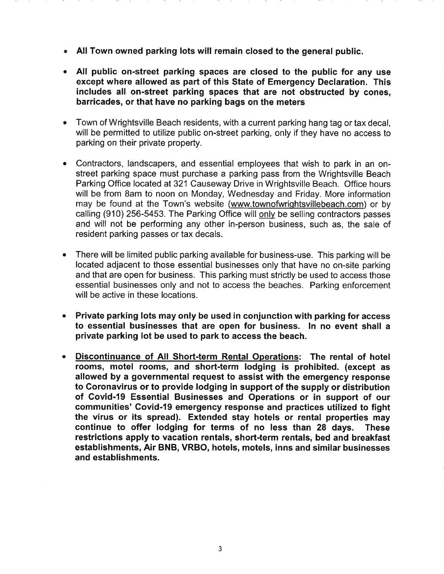- All Town owned parking lots will remain closed to the general public.  $\bullet$
- All public on-street parking spaces are closed to the public for any use except where allowed as part of this State of Emergency Declaration. This includes all on-street parking spaces that are not obstructed by cones, barricades, or that have no parking bags on the meters
- Town of Wrightsville Beach residents, with a current parking hang tag or tax decal,  $\bullet$ will be permitted to utilize public on-street parking, only if they have no access to parking on their private property.
- Contractors, landscapers, and essential employees that wish to park in an onstreet parking space must purchase a parking pass from the Wrightsville Beach Parking Office located at 321 Causeway Drive in Wrightsville Beach. Office hours will be from 8am to noon on Monday, Wednesday and Friday. More information may be found at the Town's website (www.townofwrightsvillebeach.com) or by calling (910) 256-5453. The Parking Office will only be selling contractors passes and will not be performing any other in-person business, such as, the sale of resident parking passes or tax decals.
- There will be limited public parking available for business-use. This parking will be located adjacent to those essential businesses only that have no on-site parking and that are open for business. This parking must strictly be used to access those essential businesses only and not to access the beaches. Parking enforcement will be active in these locations.
- Private parking lots may only be used in conjunction with parking for access  $\bullet$ to essential businesses that are open for business. In no event shall a private parking lot be used to park to access the beach.
- Discontinuance of All Short-term Rental Operations: The rental of hotel  $\bullet$ rooms, motel rooms, and short-term lodging is prohibited. (except as allowed by a governmental request to assist with the emergency response to Coronavirus or to provide lodging in support of the supply or distribution of Covid-19 Essential Businesses and Operations or in support of our communities' Covid-19 emergency response and practices utilized to fight the virus or its spread). Extended stay hotels or rental properties may continue to offer lodging for terms of no less than 28 days. **These** restrictions apply to vacation rentals, short-term rentals, bed and breakfast establishments, Air BNB, VRBO, hotels, motels, inns and similar businesses and establishments.